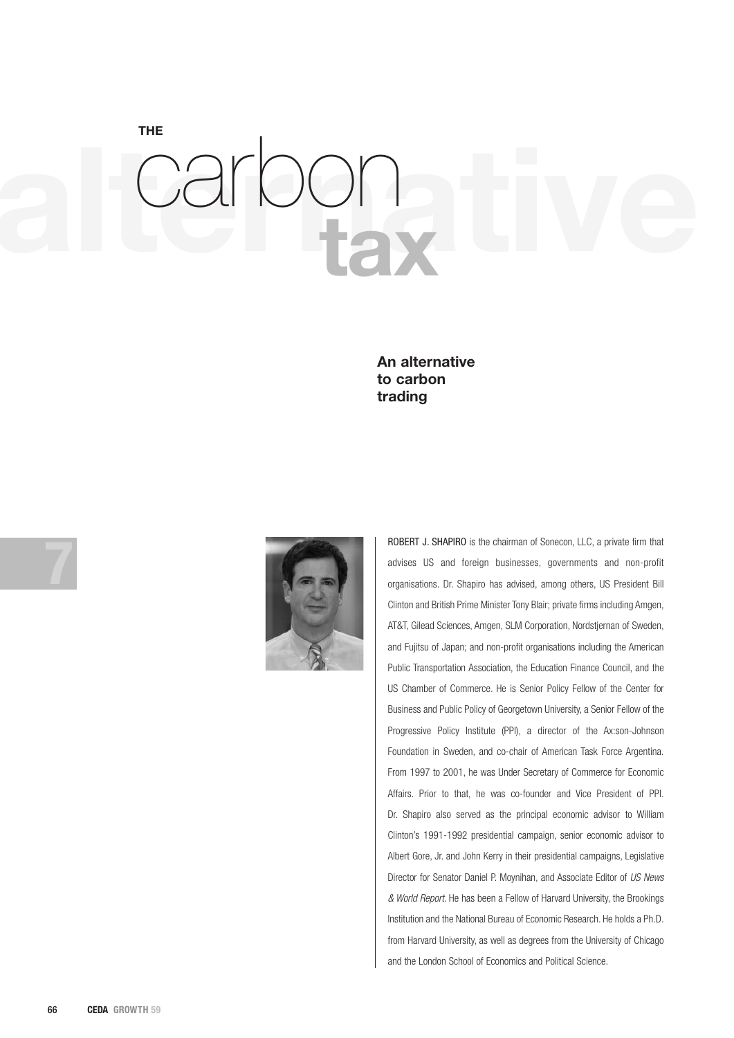**alternative THE tax** carbon

> **An alternative to carbon trading**





ROBERT J. SHAPIRO is the chairman of Sonecon, LLC, a private firm that advises US and foreign businesses, governments and non-profit organisations. Dr. Shapiro has advised, among others, US President Bill Clinton and British Prime Minister Tony Blair; private firms including Amgen, AT&T, Gilead Sciences, Amgen, SLM Corporation, Nordstjernan of Sweden, and Fujitsu of Japan; and non-profit organisations including the American Public Transportation Association, the Education Finance Council, and the US Chamber of Commerce. He is Senior Policy Fellow of the Center for Business and Public Policy of Georgetown University, a Senior Fellow of the Progressive Policy Institute (PPI), a director of the Ax:son-Johnson Foundation in Sweden, and co-chair of American Task Force Argentina. From 1997 to 2001, he was Under Secretary of Commerce for Economic Affairs. Prior to that, he was co-founder and Vice President of PPI. Dr. Shapiro also served as the principal economic advisor to William Clinton's 1991-1992 presidential campaign, senior economic advisor to Albert Gore, Jr. and John Kerry in their presidential campaigns, Legislative Director for Senator Daniel P. Moynihan, and Associate Editor of *US News & World Report*. He has been a Fellow of Harvard University, the Brookings Institution and the National Bureau of Economic Research. He holds a Ph.D. from Harvard University, as well as degrees from the University of Chicago and the London School of Economics and Political Science.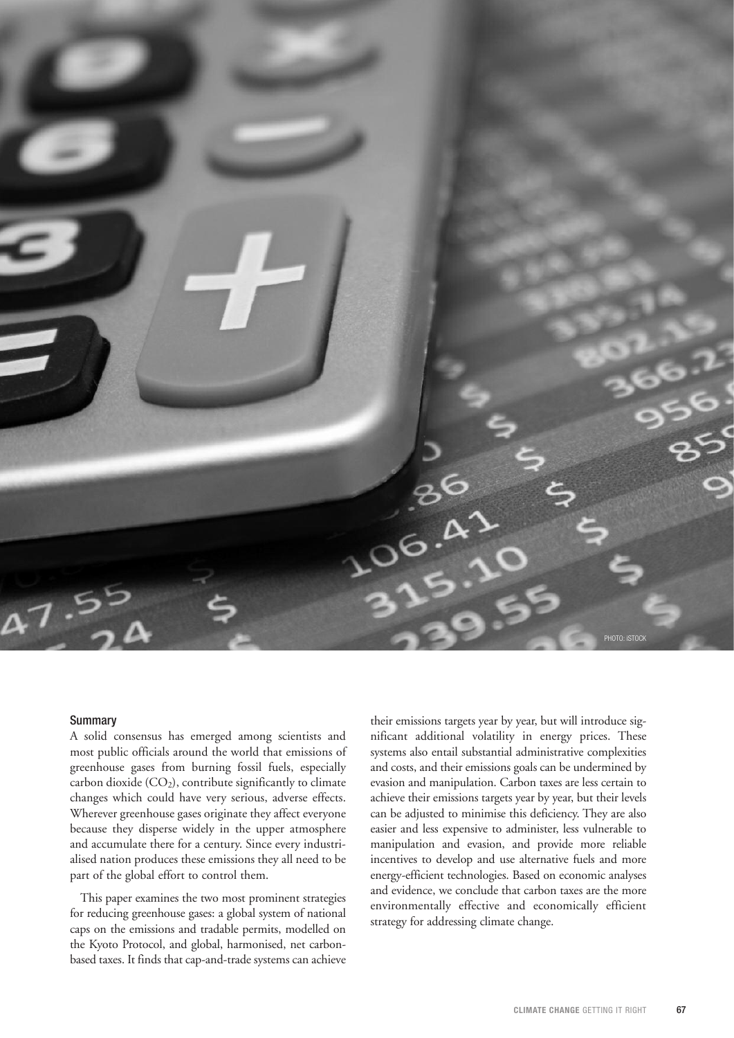

#### **Summary**

A solid consensus has emerged among scientists and most public officials around the world that emissions of greenhouse gases from burning fossil fuels, especially carbon dioxide (CO2), contribute significantly to climate changes which could have very serious, adverse effects. Wherever greenhouse gases originate they affect everyone because they disperse widely in the upper atmosphere and accumulate there for a century. Since every industrialised nation produces these emissions they all need to be part of the global effort to control them.

This paper examines the two most prominent strategies for reducing greenhouse gases: a global system of national caps on the emissions and tradable permits, modelled on the Kyoto Protocol, and global, harmonised, net carbonbased taxes. It finds that cap-and-trade systems can achieve

their emissions targets year by year, but will introduce significant additional volatility in energy prices. These systems also entail substantial administrative complexities and costs, and their emissions goals can be undermined by evasion and manipulation. Carbon taxes are less certain to achieve their emissions targets year by year, but their levels can be adjusted to minimise this deficiency. They are also easier and less expensive to administer, less vulnerable to manipulation and evasion, and provide more reliable incentives to develop and use alternative fuels and more energy-efficient technologies. Based on economic analyses and evidence, we conclude that carbon taxes are the more environmentally effective and economically efficient strategy for addressing climate change.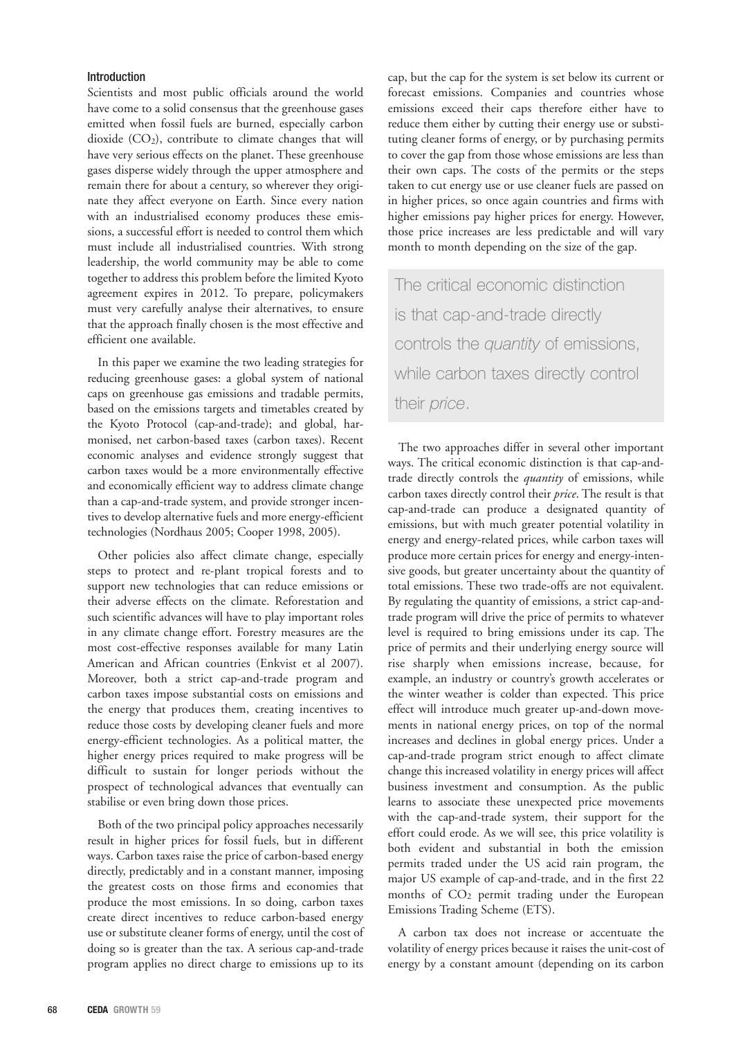# Introduction

Scientists and most public officials around the world have come to a solid consensus that the greenhouse gases emitted when fossil fuels are burned, especially carbon dioxide  $(CO_2)$ , contribute to climate changes that will have very serious effects on the planet. These greenhouse gases disperse widely through the upper atmosphere and remain there for about a century, so wherever they originate they affect everyone on Earth. Since every nation with an industrialised economy produces these emissions, a successful effort is needed to control them which must include all industrialised countries. With strong leadership, the world community may be able to come together to address this problem before the limited Kyoto agreement expires in 2012. To prepare, policymakers must very carefully analyse their alternatives, to ensure that the approach finally chosen is the most effective and efficient one available.

In this paper we examine the two leading strategies for reducing greenhouse gases: a global system of national caps on greenhouse gas emissions and tradable permits, based on the emissions targets and timetables created by the Kyoto Protocol (cap-and-trade); and global, harmonised, net carbon-based taxes (carbon taxes). Recent economic analyses and evidence strongly suggest that carbon taxes would be a more environmentally effective and economically efficient way to address climate change than a cap-and-trade system, and provide stronger incentives to develop alternative fuels and more energy-efficient technologies (Nordhaus 2005; Cooper 1998, 2005).

Other policies also affect climate change, especially steps to protect and re-plant tropical forests and to support new technologies that can reduce emissions or their adverse effects on the climate. Reforestation and such scientific advances will have to play important roles in any climate change effort. Forestry measures are the most cost-effective responses available for many Latin American and African countries (Enkvist et al 2007). Moreover, both a strict cap-and-trade program and carbon taxes impose substantial costs on emissions and the energy that produces them, creating incentives to reduce those costs by developing cleaner fuels and more energy-efficient technologies. As a political matter, the higher energy prices required to make progress will be difficult to sustain for longer periods without the prospect of technological advances that eventually can stabilise or even bring down those prices.

Both of the two principal policy approaches necessarily result in higher prices for fossil fuels, but in different ways. Carbon taxes raise the price of carbon-based energy directly, predictably and in a constant manner, imposing the greatest costs on those firms and economies that produce the most emissions. In so doing, carbon taxes create direct incentives to reduce carbon-based energy use or substitute cleaner forms of energy, until the cost of doing so is greater than the tax. A serious cap-and-trade program applies no direct charge to emissions up to its

cap, but the cap for the system is set below its current or forecast emissions. Companies and countries whose emissions exceed their caps therefore either have to reduce them either by cutting their energy use or substituting cleaner forms of energy, or by purchasing permits to cover the gap from those whose emissions are less than their own caps. The costs of the permits or the steps taken to cut energy use or use cleaner fuels are passed on in higher prices, so once again countries and firms with higher emissions pay higher prices for energy. However, those price increases are less predictable and will vary month to month depending on the size of the gap.

The critical economic distinction is that cap-and-trade directly controls the *quantity* of emissions, while carbon taxes directly control their *price*.

The two approaches differ in several other important ways. The critical economic distinction is that cap-andtrade directly controls the *quantity* of emissions, while carbon taxes directly control their *price*. The result is that cap-and-trade can produce a designated quantity of emissions, but with much greater potential volatility in energy and energy-related prices, while carbon taxes will produce more certain prices for energy and energy-intensive goods, but greater uncertainty about the quantity of total emissions. These two trade-offs are not equivalent. By regulating the quantity of emissions, a strict cap-andtrade program will drive the price of permits to whatever level is required to bring emissions under its cap. The price of permits and their underlying energy source will rise sharply when emissions increase, because, for example, an industry or country's growth accelerates or the winter weather is colder than expected. This price effect will introduce much greater up-and-down movements in national energy prices, on top of the normal increases and declines in global energy prices. Under a cap-and-trade program strict enough to affect climate change this increased volatility in energy prices will affect business investment and consumption. As the public learns to associate these unexpected price movements with the cap-and-trade system, their support for the effort could erode. As we will see, this price volatility is both evident and substantial in both the emission permits traded under the US acid rain program, the major US example of cap-and-trade, and in the first 22 months of CO2 permit trading under the European Emissions Trading Scheme (ETS).

A carbon tax does not increase or accentuate the volatility of energy prices because it raises the unit-cost of energy by a constant amount (depending on its carbon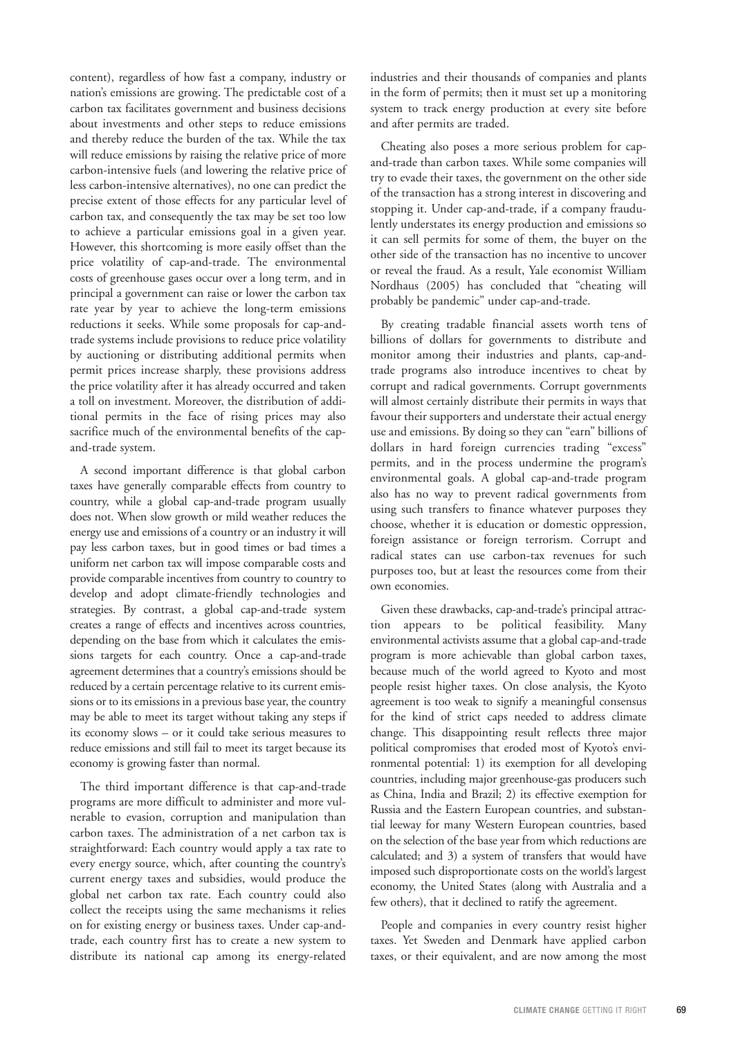content), regardless of how fast a company, industry or nation's emissions are growing. The predictable cost of a carbon tax facilitates government and business decisions about investments and other steps to reduce emissions and thereby reduce the burden of the tax. While the tax will reduce emissions by raising the relative price of more carbon-intensive fuels (and lowering the relative price of less carbon-intensive alternatives), no one can predict the precise extent of those effects for any particular level of carbon tax, and consequently the tax may be set too low to achieve a particular emissions goal in a given year. However, this shortcoming is more easily offset than the price volatility of cap-and-trade. The environmental costs of greenhouse gases occur over a long term, and in principal a government can raise or lower the carbon tax rate year by year to achieve the long-term emissions reductions it seeks. While some proposals for cap-andtrade systems include provisions to reduce price volatility by auctioning or distributing additional permits when permit prices increase sharply, these provisions address the price volatility after it has already occurred and taken a toll on investment. Moreover, the distribution of additional permits in the face of rising prices may also sacrifice much of the environmental benefits of the capand-trade system.

A second important difference is that global carbon taxes have generally comparable effects from country to country, while a global cap-and-trade program usually does not. When slow growth or mild weather reduces the energy use and emissions of a country or an industry it will pay less carbon taxes, but in good times or bad times a uniform net carbon tax will impose comparable costs and provide comparable incentives from country to country to develop and adopt climate-friendly technologies and strategies. By contrast, a global cap-and-trade system creates a range of effects and incentives across countries, depending on the base from which it calculates the emissions targets for each country. Once a cap-and-trade agreement determines that a country's emissions should be reduced by a certain percentage relative to its current emissions or to its emissions in a previous base year, the country may be able to meet its target without taking any steps if its economy slows – or it could take serious measures to reduce emissions and still fail to meet its target because its economy is growing faster than normal.

The third important difference is that cap-and-trade programs are more difficult to administer and more vulnerable to evasion, corruption and manipulation than carbon taxes. The administration of a net carbon tax is straightforward: Each country would apply a tax rate to every energy source, which, after counting the country's current energy taxes and subsidies, would produce the global net carbon tax rate. Each country could also collect the receipts using the same mechanisms it relies on for existing energy or business taxes. Under cap-andtrade, each country first has to create a new system to distribute its national cap among its energy-related industries and their thousands of companies and plants in the form of permits; then it must set up a monitoring system to track energy production at every site before and after permits are traded.

Cheating also poses a more serious problem for capand-trade than carbon taxes. While some companies will try to evade their taxes, the government on the other side of the transaction has a strong interest in discovering and stopping it. Under cap-and-trade, if a company fraudulently understates its energy production and emissions so it can sell permits for some of them, the buyer on the other side of the transaction has no incentive to uncover or reveal the fraud. As a result, Yale economist William Nordhaus (2005) has concluded that "cheating will probably be pandemic" under cap-and-trade.

By creating tradable financial assets worth tens of billions of dollars for governments to distribute and monitor among their industries and plants, cap-andtrade programs also introduce incentives to cheat by corrupt and radical governments. Corrupt governments will almost certainly distribute their permits in ways that favour their supporters and understate their actual energy use and emissions. By doing so they can "earn" billions of dollars in hard foreign currencies trading "excess" permits, and in the process undermine the program's environmental goals. A global cap-and-trade program also has no way to prevent radical governments from using such transfers to finance whatever purposes they choose, whether it is education or domestic oppression, foreign assistance or foreign terrorism. Corrupt and radical states can use carbon-tax revenues for such purposes too, but at least the resources come from their own economies.

Given these drawbacks, cap-and-trade's principal attraction appears to be political feasibility. Many environmental activists assume that a global cap-and-trade program is more achievable than global carbon taxes, because much of the world agreed to Kyoto and most people resist higher taxes. On close analysis, the Kyoto agreement is too weak to signify a meaningful consensus for the kind of strict caps needed to address climate change. This disappointing result reflects three major political compromises that eroded most of Kyoto's environmental potential: 1) its exemption for all developing countries, including major greenhouse-gas producers such as China, India and Brazil; 2) its effective exemption for Russia and the Eastern European countries, and substantial leeway for many Western European countries, based on the selection of the base year from which reductions are calculated; and 3) a system of transfers that would have imposed such disproportionate costs on the world's largest economy, the United States (along with Australia and a few others), that it declined to ratify the agreement.

People and companies in every country resist higher taxes. Yet Sweden and Denmark have applied carbon taxes, or their equivalent, and are now among the most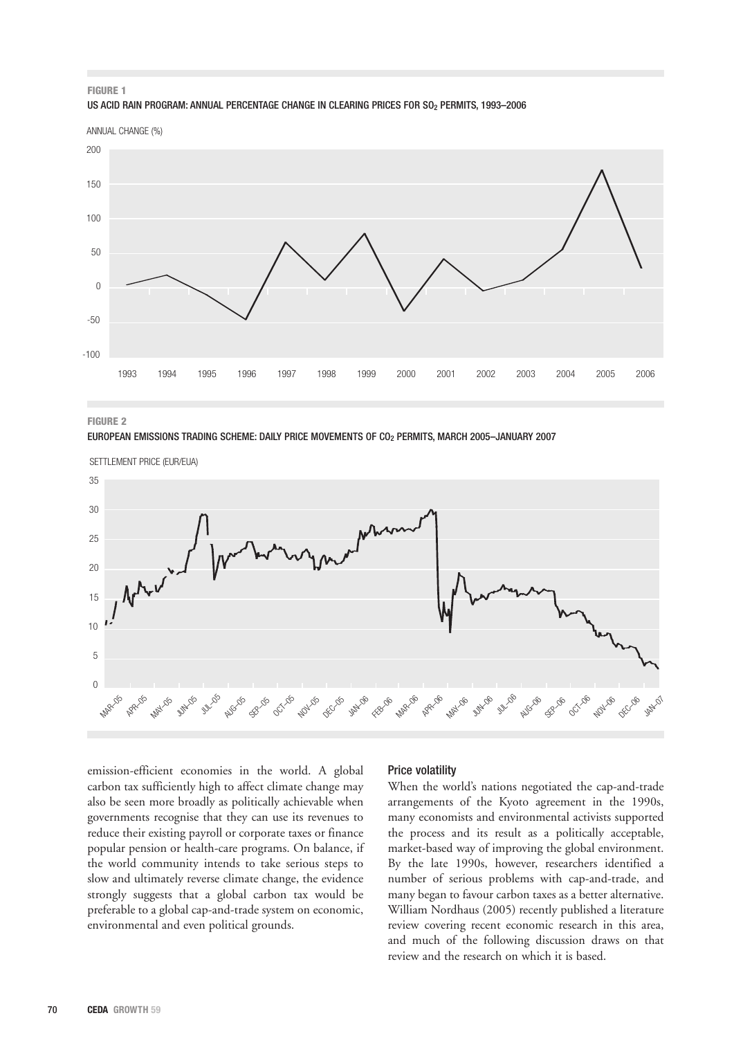### **FIGURE 1** US ACID RAIN PROGRAM: ANNUAL PERCENTAGE CHANGE IN CLEARING PRICES FOR SO<sub>2</sub> PERMITS, 1993-2006

ANNUAL CHANGE (%)



**FIGURE 2**

EUROPEAN EMISSIONS TRADING SCHEME: DAILY PRICE MOVEMENTS OF CO2 PERMITS, MARCH 2005–JANUARY 2007



emission-efficient economies in the world. A global carbon tax sufficiently high to affect climate change may also be seen more broadly as politically achievable when governments recognise that they can use its revenues to reduce their existing payroll or corporate taxes or finance popular pension or health-care programs. On balance, if the world community intends to take serious steps to slow and ultimately reverse climate change, the evidence strongly suggests that a global carbon tax would be preferable to a global cap-and-trade system on economic, environmental and even political grounds.

# Price volatility

When the world's nations negotiated the cap-and-trade arrangements of the Kyoto agreement in the 1990s, many economists and environmental activists supported the process and its result as a politically acceptable, market-based way of improving the global environment. By the late 1990s, however, researchers identified a number of serious problems with cap-and-trade, and many began to favour carbon taxes as a better alternative. William Nordhaus (2005) recently published a literature review covering recent economic research in this area, and much of the following discussion draws on that review and the research on which it is based.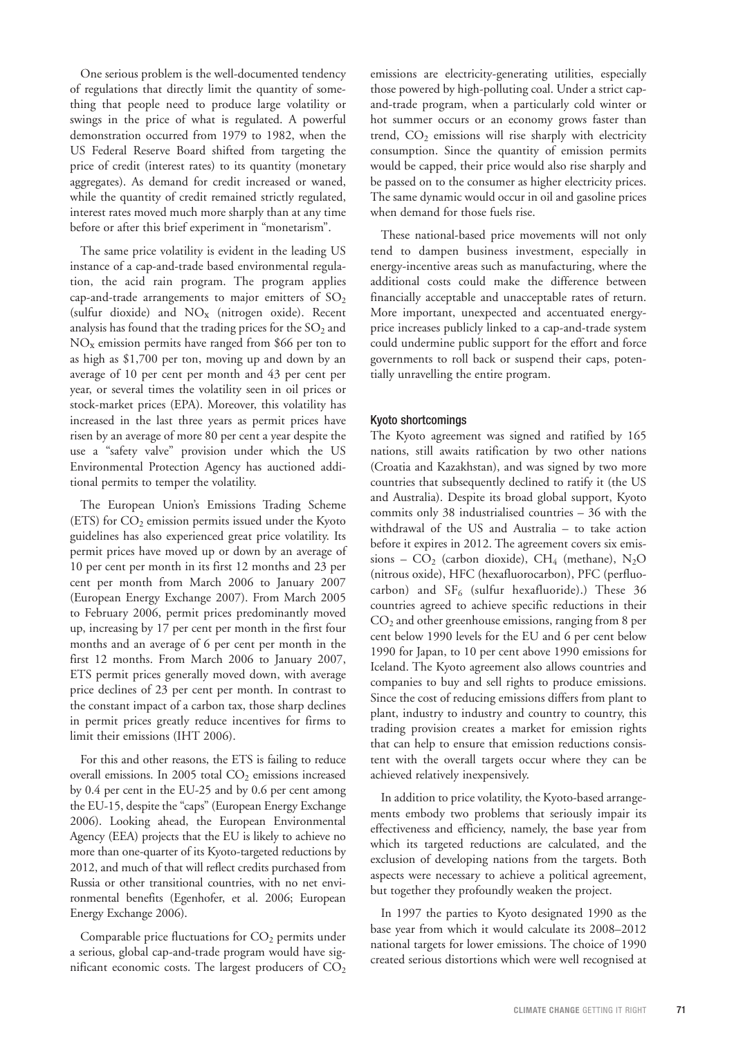One serious problem is the well-documented tendency of regulations that directly limit the quantity of something that people need to produce large volatility or swings in the price of what is regulated. A powerful demonstration occurred from 1979 to 1982, when the US Federal Reserve Board shifted from targeting the price of credit (interest rates) to its quantity (monetary aggregates). As demand for credit increased or waned, while the quantity of credit remained strictly regulated, interest rates moved much more sharply than at any time before or after this brief experiment in "monetarism".

The same price volatility is evident in the leading US instance of a cap-and-trade based environmental regulation, the acid rain program. The program applies cap-and-trade arrangements to major emitters of  $SO_2$ (sulfur dioxide) and NOx (nitrogen oxide). Recent analysis has found that the trading prices for the  $SO<sub>2</sub>$  and NOx emission permits have ranged from \$66 per ton to as high as \$1,700 per ton, moving up and down by an average of 10 per cent per month and 43 per cent per year, or several times the volatility seen in oil prices or stock-market prices (EPA). Moreover, this volatility has increased in the last three years as permit prices have risen by an average of more 80 per cent a year despite the use a "safety valve" provision under which the US Environmental Protection Agency has auctioned additional permits to temper the volatility.

The European Union's Emissions Trading Scheme (ETS) for  $CO<sub>2</sub>$  emission permits issued under the Kyoto guidelines has also experienced great price volatility. Its permit prices have moved up or down by an average of 10 per cent per month in its first 12 months and 23 per cent per month from March 2006 to January 2007 (European Energy Exchange 2007). From March 2005 to February 2006, permit prices predominantly moved up, increasing by 17 per cent per month in the first four months and an average of 6 per cent per month in the first 12 months. From March 2006 to January 2007, ETS permit prices generally moved down, with average price declines of 23 per cent per month. In contrast to the constant impact of a carbon tax, those sharp declines in permit prices greatly reduce incentives for firms to limit their emissions (IHT 2006).

For this and other reasons, the ETS is failing to reduce overall emissions. In 2005 total  $CO<sub>2</sub>$  emissions increased by 0.4 per cent in the EU-25 and by 0.6 per cent among the EU-15, despite the "caps" (European Energy Exchange 2006). Looking ahead, the European Environmental Agency (EEA) projects that the EU is likely to achieve no more than one-quarter of its Kyoto-targeted reductions by 2012, and much of that will reflect credits purchased from Russia or other transitional countries, with no net environmental benefits (Egenhofer, et al. 2006; European Energy Exchange 2006).

Comparable price fluctuations for  $CO<sub>2</sub>$  permits under a serious, global cap-and-trade program would have significant economic costs. The largest producers of  $CO<sub>2</sub>$ 

emissions are electricity-generating utilities, especially those powered by high-polluting coal. Under a strict capand-trade program, when a particularly cold winter or hot summer occurs or an economy grows faster than trend,  $CO<sub>2</sub>$  emissions will rise sharply with electricity consumption. Since the quantity of emission permits would be capped, their price would also rise sharply and be passed on to the consumer as higher electricity prices. The same dynamic would occur in oil and gasoline prices when demand for those fuels rise.

These national-based price movements will not only tend to dampen business investment, especially in energy-incentive areas such as manufacturing, where the additional costs could make the difference between financially acceptable and unacceptable rates of return. More important, unexpected and accentuated energyprice increases publicly linked to a cap-and-trade system could undermine public support for the effort and force governments to roll back or suspend their caps, potentially unravelling the entire program.

### Kyoto shortcomings

The Kyoto agreement was signed and ratified by 165 nations, still awaits ratification by two other nations (Croatia and Kazakhstan), and was signed by two more countries that subsequently declined to ratify it (the US and Australia). Despite its broad global support, Kyoto commits only 38 industrialised countries – 36 with the withdrawal of the US and Australia – to take action before it expires in 2012. The agreement covers six emissions –  $CO<sub>2</sub>$  (carbon dioxide),  $CH<sub>4</sub>$  (methane), N<sub>2</sub>O (nitrous oxide), HFC (hexafluorocarbon), PFC (perfluocarbon) and  $SF_6$  (sulfur hexafluoride).) These 36 countries agreed to achieve specific reductions in their CO2 and other greenhouse emissions, ranging from 8 per cent below 1990 levels for the EU and 6 per cent below 1990 for Japan, to 10 per cent above 1990 emissions for Iceland. The Kyoto agreement also allows countries and companies to buy and sell rights to produce emissions. Since the cost of reducing emissions differs from plant to plant, industry to industry and country to country, this trading provision creates a market for emission rights that can help to ensure that emission reductions consistent with the overall targets occur where they can be achieved relatively inexpensively.

In addition to price volatility, the Kyoto-based arrangements embody two problems that seriously impair its effectiveness and efficiency, namely, the base year from which its targeted reductions are calculated, and the exclusion of developing nations from the targets. Both aspects were necessary to achieve a political agreement, but together they profoundly weaken the project.

In 1997 the parties to Kyoto designated 1990 as the base year from which it would calculate its 2008–2012 national targets for lower emissions. The choice of 1990 created serious distortions which were well recognised at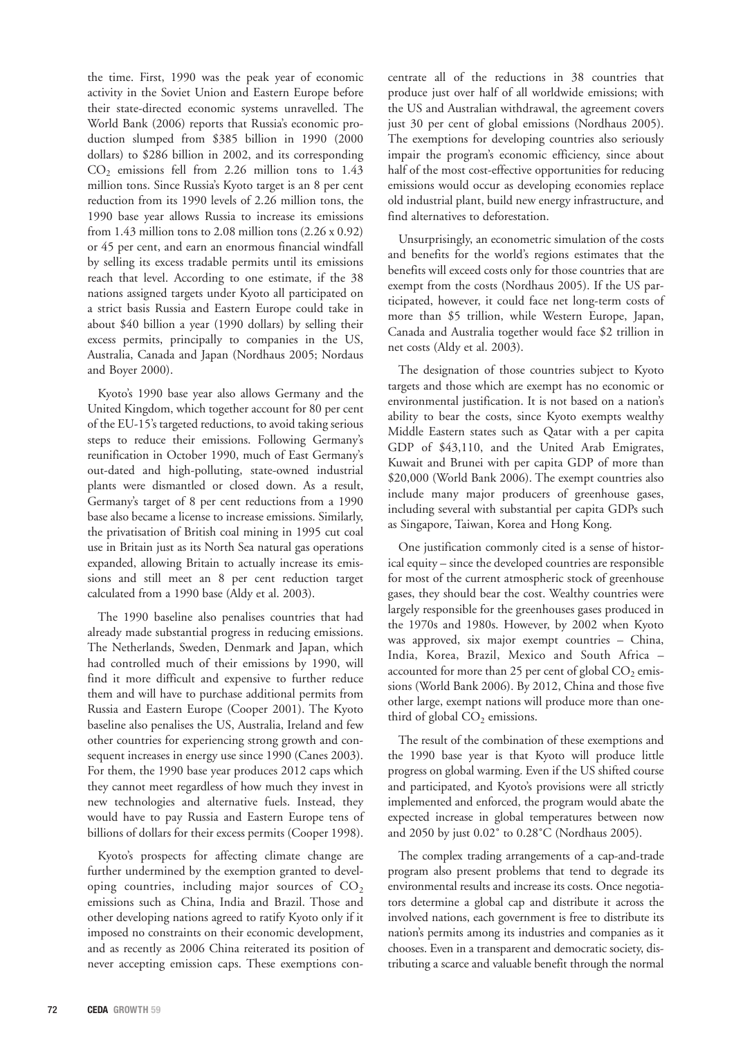the time. First, 1990 was the peak year of economic activity in the Soviet Union and Eastern Europe before their state-directed economic systems unravelled. The World Bank (2006) reports that Russia's economic production slumped from \$385 billion in 1990 (2000 dollars) to \$286 billion in 2002, and its corresponding  $CO<sub>2</sub>$  emissions fell from 2.26 million tons to 1.43 million tons. Since Russia's Kyoto target is an 8 per cent reduction from its 1990 levels of 2.26 million tons, the 1990 base year allows Russia to increase its emissions from 1.43 million tons to 2.08 million tons  $(2.26 \times 0.92)$ or 45 per cent, and earn an enormous financial windfall by selling its excess tradable permits until its emissions reach that level. According to one estimate, if the 38 nations assigned targets under Kyoto all participated on a strict basis Russia and Eastern Europe could take in about \$40 billion a year (1990 dollars) by selling their excess permits, principally to companies in the US, Australia, Canada and Japan (Nordhaus 2005; Nordaus and Boyer 2000).

Kyoto's 1990 base year also allows Germany and the United Kingdom, which together account for 80 per cent of the EU-15's targeted reductions, to avoid taking serious steps to reduce their emissions. Following Germany's reunification in October 1990, much of East Germany's out-dated and high-polluting, state-owned industrial plants were dismantled or closed down. As a result, Germany's target of 8 per cent reductions from a 1990 base also became a license to increase emissions. Similarly, the privatisation of British coal mining in 1995 cut coal use in Britain just as its North Sea natural gas operations expanded, allowing Britain to actually increase its emissions and still meet an 8 per cent reduction target calculated from a 1990 base (Aldy et al. 2003).

The 1990 baseline also penalises countries that had already made substantial progress in reducing emissions. The Netherlands, Sweden, Denmark and Japan, which had controlled much of their emissions by 1990, will find it more difficult and expensive to further reduce them and will have to purchase additional permits from Russia and Eastern Europe (Cooper 2001). The Kyoto baseline also penalises the US, Australia, Ireland and few other countries for experiencing strong growth and consequent increases in energy use since 1990 (Canes 2003). For them, the 1990 base year produces 2012 caps which they cannot meet regardless of how much they invest in new technologies and alternative fuels. Instead, they would have to pay Russia and Eastern Europe tens of billions of dollars for their excess permits (Cooper 1998).

Kyoto's prospects for affecting climate change are further undermined by the exemption granted to developing countries, including major sources of  $CO<sub>2</sub>$ emissions such as China, India and Brazil. Those and other developing nations agreed to ratify Kyoto only if it imposed no constraints on their economic development, and as recently as 2006 China reiterated its position of never accepting emission caps. These exemptions concentrate all of the reductions in 38 countries that produce just over half of all worldwide emissions; with the US and Australian withdrawal, the agreement covers just 30 per cent of global emissions (Nordhaus 2005). The exemptions for developing countries also seriously impair the program's economic efficiency, since about half of the most cost-effective opportunities for reducing emissions would occur as developing economies replace old industrial plant, build new energy infrastructure, and find alternatives to deforestation.

Unsurprisingly, an econometric simulation of the costs and benefits for the world's regions estimates that the benefits will exceed costs only for those countries that are exempt from the costs (Nordhaus 2005). If the US participated, however, it could face net long-term costs of more than \$5 trillion, while Western Europe, Japan, Canada and Australia together would face \$2 trillion in net costs (Aldy et al. 2003).

The designation of those countries subject to Kyoto targets and those which are exempt has no economic or environmental justification. It is not based on a nation's ability to bear the costs, since Kyoto exempts wealthy Middle Eastern states such as Qatar with a per capita GDP of \$43,110, and the United Arab Emigrates, Kuwait and Brunei with per capita GDP of more than \$20,000 (World Bank 2006). The exempt countries also include many major producers of greenhouse gases, including several with substantial per capita GDPs such as Singapore, Taiwan, Korea and Hong Kong.

One justification commonly cited is a sense of historical equity – since the developed countries are responsible for most of the current atmospheric stock of greenhouse gases, they should bear the cost. Wealthy countries were largely responsible for the greenhouses gases produced in the 1970s and 1980s. However, by 2002 when Kyoto was approved, six major exempt countries – China, India, Korea, Brazil, Mexico and South Africa – accounted for more than 25 per cent of global  $CO<sub>2</sub>$  emissions (World Bank 2006). By 2012, China and those five other large, exempt nations will produce more than onethird of global  $CO<sub>2</sub>$  emissions.

The result of the combination of these exemptions and the 1990 base year is that Kyoto will produce little progress on global warming. Even if the US shifted course and participated, and Kyoto's provisions were all strictly implemented and enforced, the program would abate the expected increase in global temperatures between now and 2050 by just 0.02˚ to 0.28˚C (Nordhaus 2005).

The complex trading arrangements of a cap-and-trade program also present problems that tend to degrade its environmental results and increase its costs. Once negotiators determine a global cap and distribute it across the involved nations, each government is free to distribute its nation's permits among its industries and companies as it chooses. Even in a transparent and democratic society, distributing a scarce and valuable benefit through the normal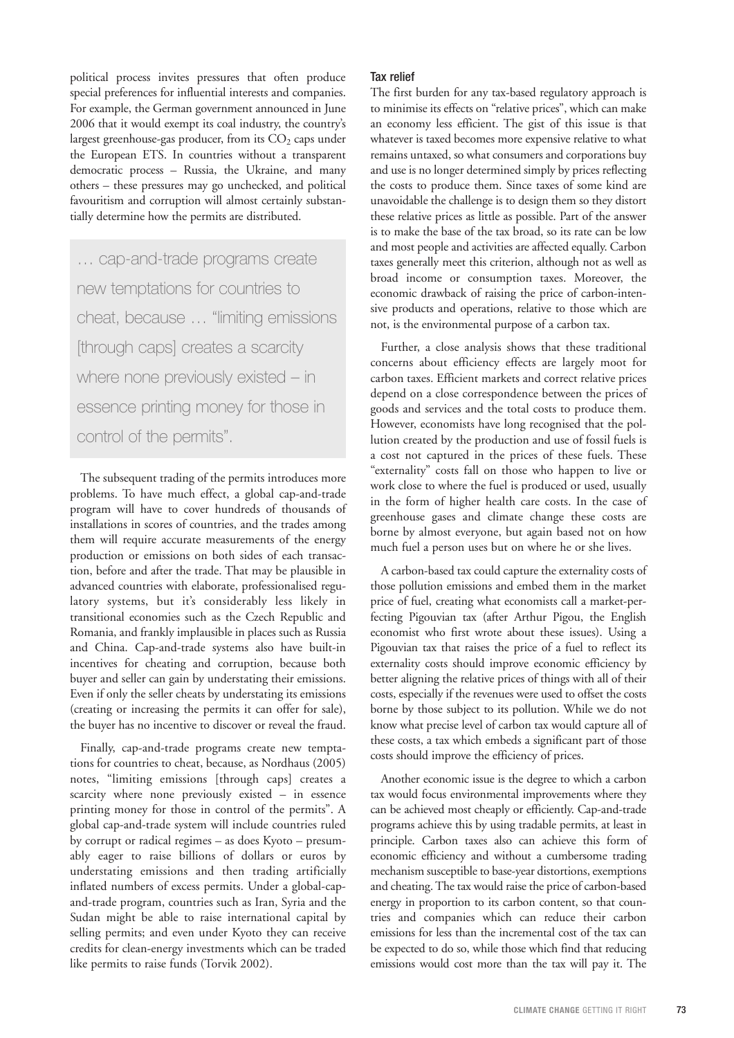political process invites pressures that often produce special preferences for influential interests and companies. For example, the German government announced in June 2006 that it would exempt its coal industry, the country's largest greenhouse-gas producer, from its  $CO<sub>2</sub>$  caps under the European ETS. In countries without a transparent democratic process – Russia, the Ukraine, and many others – these pressures may go unchecked, and political favouritism and corruption will almost certainly substantially determine how the permits are distributed.

… cap-and-trade programs create new temptations for countries to cheat, because … "limiting emissions [through caps] creates a scarcity where none previously existed – in essence printing money for those in control of the permits".

The subsequent trading of the permits introduces more problems. To have much effect, a global cap-and-trade program will have to cover hundreds of thousands of installations in scores of countries, and the trades among them will require accurate measurements of the energy production or emissions on both sides of each transaction, before and after the trade. That may be plausible in advanced countries with elaborate, professionalised regulatory systems, but it's considerably less likely in transitional economies such as the Czech Republic and Romania, and frankly implausible in places such as Russia and China. Cap-and-trade systems also have built-in incentives for cheating and corruption, because both buyer and seller can gain by understating their emissions. Even if only the seller cheats by understating its emissions (creating or increasing the permits it can offer for sale), the buyer has no incentive to discover or reveal the fraud.

Finally, cap-and-trade programs create new temptations for countries to cheat, because, as Nordhaus (2005) notes, "limiting emissions [through caps] creates a scarcity where none previously existed – in essence printing money for those in control of the permits". A global cap-and-trade system will include countries ruled by corrupt or radical regimes – as does Kyoto – presumably eager to raise billions of dollars or euros by understating emissions and then trading artificially inflated numbers of excess permits. Under a global-capand-trade program, countries such as Iran, Syria and the Sudan might be able to raise international capital by selling permits; and even under Kyoto they can receive credits for clean-energy investments which can be traded like permits to raise funds (Torvik 2002).

# Tax relief

The first burden for any tax-based regulatory approach is to minimise its effects on "relative prices", which can make an economy less efficient. The gist of this issue is that whatever is taxed becomes more expensive relative to what remains untaxed, so what consumers and corporations buy and use is no longer determined simply by prices reflecting the costs to produce them. Since taxes of some kind are unavoidable the challenge is to design them so they distort these relative prices as little as possible. Part of the answer is to make the base of the tax broad, so its rate can be low and most people and activities are affected equally. Carbon taxes generally meet this criterion, although not as well as broad income or consumption taxes. Moreover, the economic drawback of raising the price of carbon-intensive products and operations, relative to those which are not, is the environmental purpose of a carbon tax.

Further, a close analysis shows that these traditional concerns about efficiency effects are largely moot for carbon taxes. Efficient markets and correct relative prices depend on a close correspondence between the prices of goods and services and the total costs to produce them. However, economists have long recognised that the pollution created by the production and use of fossil fuels is a cost not captured in the prices of these fuels. These "externality" costs fall on those who happen to live or work close to where the fuel is produced or used, usually in the form of higher health care costs. In the case of greenhouse gases and climate change these costs are borne by almost everyone, but again based not on how much fuel a person uses but on where he or she lives.

A carbon-based tax could capture the externality costs of those pollution emissions and embed them in the market price of fuel, creating what economists call a market-perfecting Pigouvian tax (after Arthur Pigou, the English economist who first wrote about these issues). Using a Pigouvian tax that raises the price of a fuel to reflect its externality costs should improve economic efficiency by better aligning the relative prices of things with all of their costs, especially if the revenues were used to offset the costs borne by those subject to its pollution. While we do not know what precise level of carbon tax would capture all of these costs, a tax which embeds a significant part of those costs should improve the efficiency of prices.

Another economic issue is the degree to which a carbon tax would focus environmental improvements where they can be achieved most cheaply or efficiently. Cap-and-trade programs achieve this by using tradable permits, at least in principle. Carbon taxes also can achieve this form of economic efficiency and without a cumbersome trading mechanism susceptible to base-year distortions, exemptions and cheating. The tax would raise the price of carbon-based energy in proportion to its carbon content, so that countries and companies which can reduce their carbon emissions for less than the incremental cost of the tax can be expected to do so, while those which find that reducing emissions would cost more than the tax will pay it. The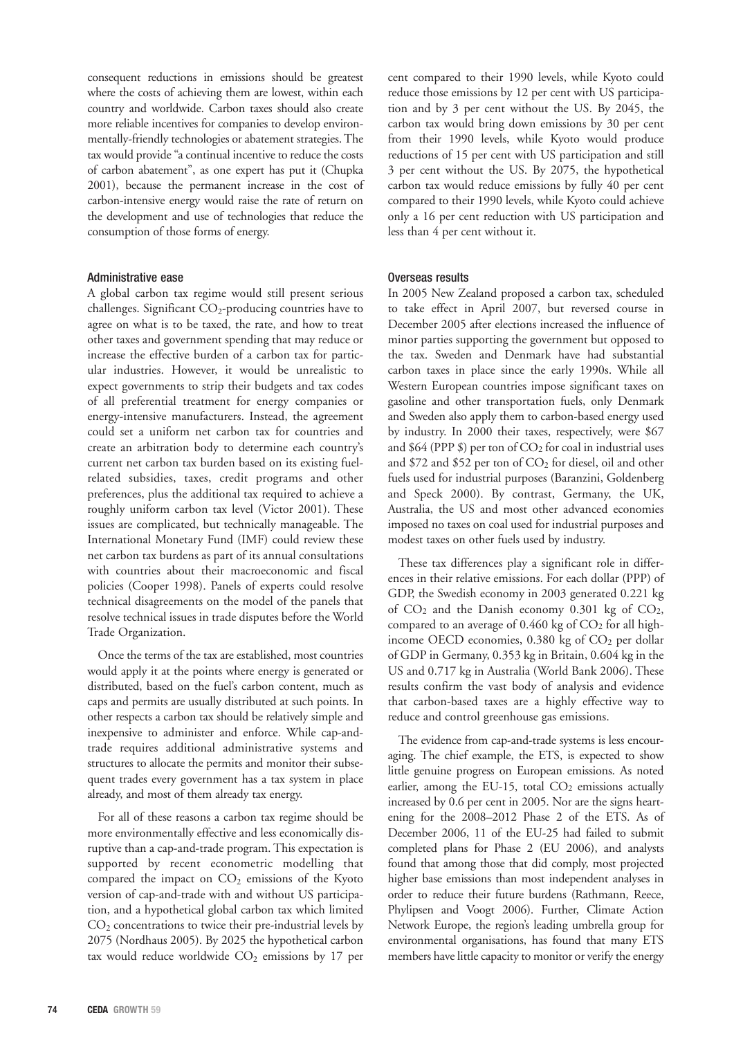consequent reductions in emissions should be greatest where the costs of achieving them are lowest, within each country and worldwide. Carbon taxes should also create more reliable incentives for companies to develop environmentally-friendly technologies or abatement strategies. The tax would provide "a continual incentive to reduce the costs of carbon abatement", as one expert has put it (Chupka 2001), because the permanent increase in the cost of carbon-intensive energy would raise the rate of return on the development and use of technologies that reduce the consumption of those forms of energy.

# Administrative ease

A global carbon tax regime would still present serious challenges. Significant  $CO_2$ -producing countries have to agree on what is to be taxed, the rate, and how to treat other taxes and government spending that may reduce or increase the effective burden of a carbon tax for particular industries. However, it would be unrealistic to expect governments to strip their budgets and tax codes of all preferential treatment for energy companies or energy-intensive manufacturers. Instead, the agreement could set a uniform net carbon tax for countries and create an arbitration body to determine each country's current net carbon tax burden based on its existing fuelrelated subsidies, taxes, credit programs and other preferences, plus the additional tax required to achieve a roughly uniform carbon tax level (Victor 2001). These issues are complicated, but technically manageable. The International Monetary Fund (IMF) could review these net carbon tax burdens as part of its annual consultations with countries about their macroeconomic and fiscal policies (Cooper 1998). Panels of experts could resolve technical disagreements on the model of the panels that resolve technical issues in trade disputes before the World Trade Organization.

Once the terms of the tax are established, most countries would apply it at the points where energy is generated or distributed, based on the fuel's carbon content, much as caps and permits are usually distributed at such points. In other respects a carbon tax should be relatively simple and inexpensive to administer and enforce. While cap-andtrade requires additional administrative systems and structures to allocate the permits and monitor their subsequent trades every government has a tax system in place already, and most of them already tax energy.

For all of these reasons a carbon tax regime should be more environmentally effective and less economically disruptive than a cap-and-trade program. This expectation is supported by recent econometric modelling that compared the impact on  $CO<sub>2</sub>$  emissions of the Kyoto version of cap-and-trade with and without US participation, and a hypothetical global carbon tax which limited  $CO<sub>2</sub>$  concentrations to twice their pre-industrial levels by 2075 (Nordhaus 2005). By 2025 the hypothetical carbon tax would reduce worldwide  $CO<sub>2</sub>$  emissions by 17 per

cent compared to their 1990 levels, while Kyoto could reduce those emissions by 12 per cent with US participation and by 3 per cent without the US. By 2045, the carbon tax would bring down emissions by 30 per cent from their 1990 levels, while Kyoto would produce reductions of 15 per cent with US participation and still 3 per cent without the US. By 2075, the hypothetical carbon tax would reduce emissions by fully 40 per cent compared to their 1990 levels, while Kyoto could achieve only a 16 per cent reduction with US participation and less than 4 per cent without it.

# Overseas results

In 2005 New Zealand proposed a carbon tax, scheduled to take effect in April 2007, but reversed course in December 2005 after elections increased the influence of minor parties supporting the government but opposed to the tax. Sweden and Denmark have had substantial carbon taxes in place since the early 1990s. While all Western European countries impose significant taxes on gasoline and other transportation fuels, only Denmark and Sweden also apply them to carbon-based energy used by industry. In 2000 their taxes, respectively, were \$67 and \$64 (PPP \$) per ton of  $CO<sub>2</sub>$  for coal in industrial uses and \$72 and \$52 per ton of CO<sub>2</sub> for diesel, oil and other fuels used for industrial purposes (Baranzini, Goldenberg and Speck 2000). By contrast, Germany, the UK, Australia, the US and most other advanced economies imposed no taxes on coal used for industrial purposes and modest taxes on other fuels used by industry.

These tax differences play a significant role in differences in their relative emissions. For each dollar (PPP) of GDP, the Swedish economy in 2003 generated 0.221 kg of CO2 and the Danish economy 0.301 kg of CO2, compared to an average of  $0.460$  kg of  $CO<sub>2</sub>$  for all highincome OECD economies,  $0.380$  kg of  $CO<sub>2</sub>$  per dollar of GDP in Germany, 0.353 kg in Britain, 0.604 kg in the US and 0.717 kg in Australia (World Bank 2006). These results confirm the vast body of analysis and evidence that carbon-based taxes are a highly effective way to reduce and control greenhouse gas emissions.

The evidence from cap-and-trade systems is less encouraging. The chief example, the ETS, is expected to show little genuine progress on European emissions. As noted earlier, among the EU-15, total  $CO<sub>2</sub>$  emissions actually increased by 0.6 per cent in 2005. Nor are the signs heartening for the 2008–2012 Phase 2 of the ETS. As of December 2006, 11 of the EU-25 had failed to submit completed plans for Phase 2 (EU 2006), and analysts found that among those that did comply, most projected higher base emissions than most independent analyses in order to reduce their future burdens (Rathmann, Reece, Phylipsen and Voogt 2006). Further, Climate Action Network Europe, the region's leading umbrella group for environmental organisations, has found that many ETS members have little capacity to monitor or verify the energy